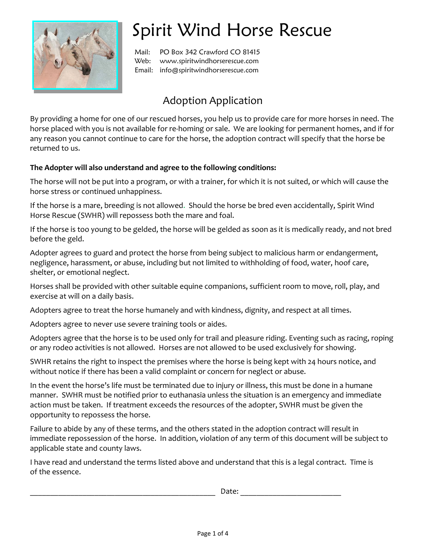

## Spirit Wind Horse Rescue

Mail: PO Box 342 Crawford CO 81415 Web: www.spiritwindhorserescue.com Email: info@spiritwindhorserescue.com

## Adoption Application

By providing a home for one of our rescued horses, you help us to provide care for more horses in need. The horse placed with you is not available for re-homing or sale. We are looking for permanent homes, and if for any reason you cannot continue to care for the horse, the adoption contract will specify that the horse be returned to us.

## **The Adopter will also understand and agree to the following conditions:**

The horse will not be put into a program, or with a trainer, for which it is not suited, or which will cause the horse stress or continued unhappiness.

If the horse is a mare, breeding is not allowed. Should the horse be bred even accidentally, Spirit Wind Horse Rescue (SWHR) will repossess both the mare and foal.

If the horse is too young to be gelded, the horse will be gelded as soon as it is medically ready, and not bred before the geld.

Adopter agrees to guard and protect the horse from being subject to malicious harm or endangerment, negligence, harassment, or abuse, including but not limited to withholding of food, water, hoof care, shelter, or emotional neglect.

Horses shall be provided with other suitable equine companions, sufficient room to move, roll, play, and exercise at will on a daily basis.

Adopters agree to treat the horse humanely and with kindness, dignity, and respect at all times.

Adopters agree to never use severe training tools or aides.

Adopters agree that the horse is to be used only for trail and pleasure riding. Eventing such as racing, roping or any rodeo activities is not allowed. Horses are not allowed to be used exclusively for showing.

SWHR retains the right to inspect the premises where the horse is being kept with 24 hours notice, and without notice if there has been a valid complaint or concern for neglect or abuse.

In the event the horse's life must be terminated due to injury or illness, this must be done in a humane manner. SWHR must be notified prior to euthanasia unless the situation is an emergency and immediate action must be taken. If treatment exceeds the resources of the adopter, SWHR must be given the opportunity to repossess the horse.

Failure to abide by any of these terms, and the others stated in the adoption contract will result in immediate repossession of the horse. In addition, violation of any term of this document will be subject to applicable state and county laws.

I have read and understand the terms listed above and understand that this is a legal contract. Time is of the essence.

\_\_\_\_\_\_\_\_\_\_\_\_\_\_\_\_\_\_\_\_\_\_\_\_\_\_\_\_\_\_\_\_\_\_\_\_\_\_\_\_\_\_\_\_\_\_ Date: \_\_\_\_\_\_\_\_\_\_\_\_\_\_\_\_\_\_\_\_\_\_\_\_\_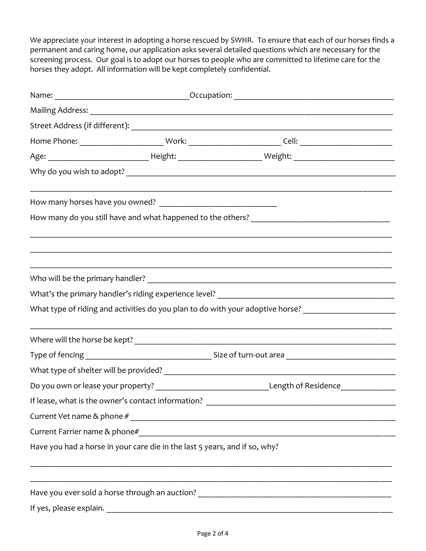We appreciate your interest in adopting a horse rescued by SWHR. To ensure that each of our horses finds a permanent and caring home, our application asks several detailed questions which are necessary for the screening process. Our goal is to adopt our horses to people who are committed to lifetime care for the horses they adopt. All information will be kept completely confidential.

|                                                                            | What type of riding and activities do you plan to do with your adoptive horse? _______________________________ |  |
|----------------------------------------------------------------------------|----------------------------------------------------------------------------------------------------------------|--|
|                                                                            |                                                                                                                |  |
|                                                                            |                                                                                                                |  |
|                                                                            |                                                                                                                |  |
|                                                                            | Do you own or lease your property? ___________________________________Length of Residence________________      |  |
|                                                                            |                                                                                                                |  |
|                                                                            |                                                                                                                |  |
|                                                                            |                                                                                                                |  |
| Have you had a horse in your care die in the last 5 years, and if so, why? |                                                                                                                |  |
|                                                                            |                                                                                                                |  |
|                                                                            |                                                                                                                |  |
|                                                                            |                                                                                                                |  |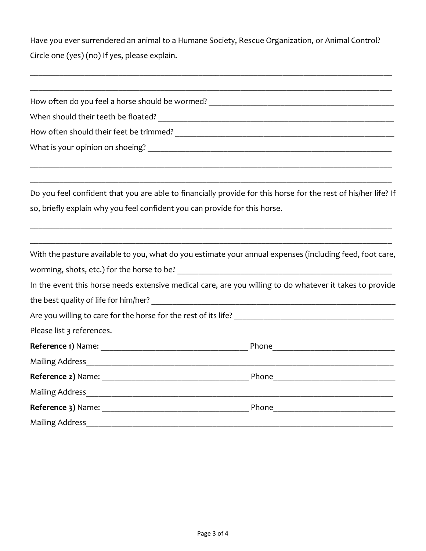Have you ever surrendered an animal to a Humane Society, Rescue Organization, or Animal Control? Circle one (yes) (no) If yes, please explain.

\_\_\_\_\_\_\_\_\_\_\_\_\_\_\_\_\_\_\_\_\_\_\_\_\_\_\_\_\_\_\_\_\_\_\_\_\_\_\_\_\_\_\_\_\_\_\_\_\_\_\_\_\_\_\_\_\_\_\_\_\_\_\_\_\_\_\_\_\_\_\_\_\_\_\_\_\_\_\_\_\_\_\_\_\_\_

|                                                                            | How often do you feel a horse should be wormed? ________________________________                               |
|----------------------------------------------------------------------------|----------------------------------------------------------------------------------------------------------------|
|                                                                            |                                                                                                                |
|                                                                            |                                                                                                                |
|                                                                            |                                                                                                                |
|                                                                            | Do you feel confident that you are able to financially provide for this horse for the rest of his/her life? If |
| so, briefly explain why you feel confident you can provide for this horse. |                                                                                                                |
|                                                                            | With the pasture available to you, what do you estimate your annual expenses (including feed, foot care,       |
|                                                                            |                                                                                                                |
|                                                                            | In the event this horse needs extensive medical care, are you willing to do whatever it takes to provide       |
| the best quality of life for him/her?                                      |                                                                                                                |
|                                                                            |                                                                                                                |
| Please list 3 references.                                                  |                                                                                                                |
|                                                                            |                                                                                                                |
|                                                                            |                                                                                                                |
|                                                                            |                                                                                                                |
| <b>Mailing Address</b>                                                     |                                                                                                                |
|                                                                            |                                                                                                                |
| <b>Mailing Address</b>                                                     |                                                                                                                |